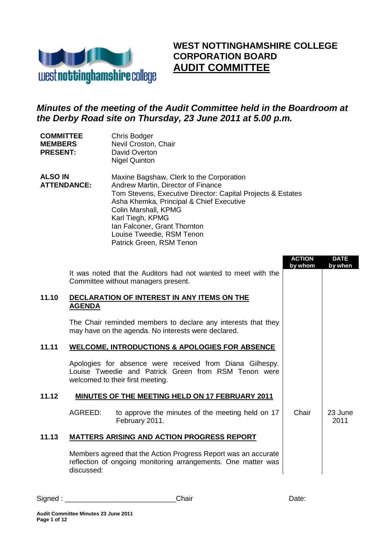

Chris Bodger

**COMMITTEE** 

## **WEST NOTTINGHAMSHIRE COLLEGE CORPORATION BOARD AUDIT COMMITTEE**

## *Minutes of the meeting of the Audit Committee held in the Boardroom at the Derby Road site on Thursday, 23 June 2011 at 5.00 p.m.*

| <b>MEMBERS</b><br><b>PRESENT:</b>    |               | Nevil Croston, Chair<br>David Overton<br><b>Nigel Quinton</b>                                                                                                                                                                                                                                                                  |                          |                        |  |
|--------------------------------------|---------------|--------------------------------------------------------------------------------------------------------------------------------------------------------------------------------------------------------------------------------------------------------------------------------------------------------------------------------|--------------------------|------------------------|--|
| <b>ALSO IN</b><br><b>ATTENDANCE:</b> |               | Maxine Bagshaw, Clerk to the Corporation<br>Andrew Martin, Director of Finance<br>Tom Stevens, Executive Director: Capital Projects & Estates<br>Asha Khemka, Principal & Chief Executive<br>Colin Marshall, KPMG<br>Karl Tiegh, KPMG<br>Ian Falconer, Grant Thornton<br>Louise Tweedie, RSM Tenon<br>Patrick Green, RSM Tenon |                          |                        |  |
|                                      |               |                                                                                                                                                                                                                                                                                                                                | <b>ACTION</b><br>by whom | <b>DATE</b><br>by when |  |
|                                      |               | It was noted that the Auditors had not wanted to meet with the<br>Committee without managers present.                                                                                                                                                                                                                          |                          |                        |  |
| 11.10                                | <b>AGENDA</b> | DECLARATION OF INTEREST IN ANY ITEMS ON THE                                                                                                                                                                                                                                                                                    |                          |                        |  |
|                                      |               | The Chair reminded members to declare any interests that they<br>may have on the agenda. No interests were declared.                                                                                                                                                                                                           |                          |                        |  |
| 11.11                                |               | <b>WELCOME, INTRODUCTIONS &amp; APOLOGIES FOR ABSENCE</b>                                                                                                                                                                                                                                                                      |                          |                        |  |
|                                      |               | Apologies for absence were received from Diana Gilhespy.<br>Louise Tweedie and Patrick Green from RSM Tenon were<br>welcomed to their first meeting.                                                                                                                                                                           |                          |                        |  |
| 11.12                                |               | <b>MINUTES OF THE MEETING HELD ON 17 FEBRUARY 2011</b>                                                                                                                                                                                                                                                                         |                          |                        |  |
|                                      | AGREED:       | to approve the minutes of the meeting held on 17<br>February 2011.                                                                                                                                                                                                                                                             | Chair                    | 23 June<br>2011        |  |
| 11.13                                |               | <b>MATTERS ARISING AND ACTION PROGRESS REPORT</b>                                                                                                                                                                                                                                                                              |                          |                        |  |
|                                      |               | Members agreed that the Action Progress Report was an accurate                                                                                                                                                                                                                                                                 |                          |                        |  |

reflection of ongoing monitoring arrangements. One matter was discussed:

Signed : \_\_\_\_\_\_\_\_\_\_\_\_\_\_\_\_\_\_\_\_\_\_\_\_\_\_\_\_Chair Date: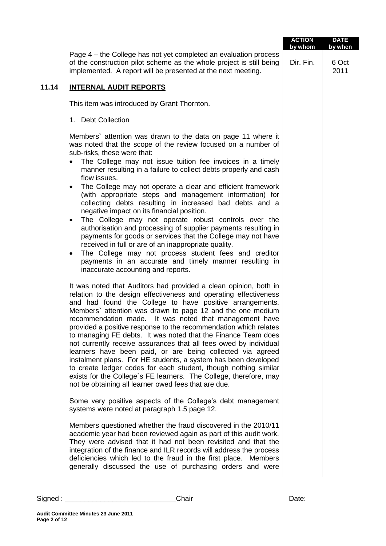|       |                                                                                                                                                                                                                                                                                                                                                                                                                                                                                                                                                                                                                                                                                                                                                                                                                                                                                                                                                                                                       | <b>ACTION</b><br>by whom | <b>DATE</b><br>by when |
|-------|-------------------------------------------------------------------------------------------------------------------------------------------------------------------------------------------------------------------------------------------------------------------------------------------------------------------------------------------------------------------------------------------------------------------------------------------------------------------------------------------------------------------------------------------------------------------------------------------------------------------------------------------------------------------------------------------------------------------------------------------------------------------------------------------------------------------------------------------------------------------------------------------------------------------------------------------------------------------------------------------------------|--------------------------|------------------------|
|       | Page 4 – the College has not yet completed an evaluation process<br>of the construction pilot scheme as the whole project is still being<br>implemented. A report will be presented at the next meeting.                                                                                                                                                                                                                                                                                                                                                                                                                                                                                                                                                                                                                                                                                                                                                                                              | Dir. Fin.                | 6 Oct<br>2011          |
| 11.14 | <b>INTERNAL AUDIT REPORTS</b>                                                                                                                                                                                                                                                                                                                                                                                                                                                                                                                                                                                                                                                                                                                                                                                                                                                                                                                                                                         |                          |                        |
|       | This item was introduced by Grant Thornton.                                                                                                                                                                                                                                                                                                                                                                                                                                                                                                                                                                                                                                                                                                                                                                                                                                                                                                                                                           |                          |                        |
|       | 1. Debt Collection                                                                                                                                                                                                                                                                                                                                                                                                                                                                                                                                                                                                                                                                                                                                                                                                                                                                                                                                                                                    |                          |                        |
|       | Members' attention was drawn to the data on page 11 where it<br>was noted that the scope of the review focused on a number of<br>sub-risks, these were that:<br>• The College may not issue tuition fee invoices in a timely<br>manner resulting in a failure to collect debts properly and cash<br>flow issues.<br>The College may not operate a clear and efficient framework<br>$\bullet$<br>(with appropriate steps and management information) for<br>collecting debts resulting in increased bad debts and a<br>negative impact on its financial position.<br>The College may not operate robust controls over the<br>$\bullet$<br>authorisation and processing of supplier payments resulting in<br>payments for goods or services that the College may not have<br>received in full or are of an inappropriate quality.<br>The College may not process student fees and creditor<br>$\bullet$<br>payments in an accurate and timely manner resulting in<br>inaccurate accounting and reports. |                          |                        |
|       | It was noted that Auditors had provided a clean opinion, both in<br>relation to the design effectiveness and operating effectiveness<br>and had found the College to have positive arrangements.<br>Members' attention was drawn to page 12 and the one medium<br>recommendation made. It was noted that management have<br>provided a positive response to the recommendation which relates<br>to managing FE debts. It was noted that the Finance Team does<br>not currently receive assurances that all fees owed by individual<br>learners have been paid, or are being collected via agreed<br>instalment plans. For HE students, a system has been developed<br>to create ledger codes for each student, though nothing similar<br>exists for the College's FE learners. The College, therefore, may<br>not be obtaining all learner owed fees that are due.                                                                                                                                    |                          |                        |
|       | Some very positive aspects of the College's debt management<br>systems were noted at paragraph 1.5 page 12.                                                                                                                                                                                                                                                                                                                                                                                                                                                                                                                                                                                                                                                                                                                                                                                                                                                                                           |                          |                        |
|       | Members questioned whether the fraud discovered in the 2010/11<br>academic year had been reviewed again as part of this audit work.<br>They were advised that it had not been revisited and that the<br>integration of the finance and ILR records will address the process<br>deficiencies which led to the fraud in the first place. Members<br>generally discussed the use of purchasing orders and were                                                                                                                                                                                                                                                                                                                                                                                                                                                                                                                                                                                           |                          |                        |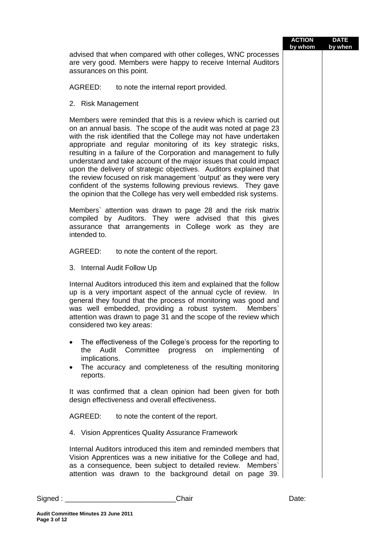|                                                                                                                                                                                                                                                                                                                                                                                                                                                                                                                                                                                                                                                                                                       | <b>ACTION</b><br>by whom | <b>DATE</b><br>by when |
|-------------------------------------------------------------------------------------------------------------------------------------------------------------------------------------------------------------------------------------------------------------------------------------------------------------------------------------------------------------------------------------------------------------------------------------------------------------------------------------------------------------------------------------------------------------------------------------------------------------------------------------------------------------------------------------------------------|--------------------------|------------------------|
| advised that when compared with other colleges, WNC processes<br>are very good. Members were happy to receive Internal Auditors<br>assurances on this point.                                                                                                                                                                                                                                                                                                                                                                                                                                                                                                                                          |                          |                        |
| AGREED:<br>to note the internal report provided.                                                                                                                                                                                                                                                                                                                                                                                                                                                                                                                                                                                                                                                      |                          |                        |
| 2. Risk Management                                                                                                                                                                                                                                                                                                                                                                                                                                                                                                                                                                                                                                                                                    |                          |                        |
| Members were reminded that this is a review which is carried out<br>on an annual basis. The scope of the audit was noted at page 23<br>with the risk identified that the College may not have undertaken<br>appropriate and regular monitoring of its key strategic risks,<br>resulting in a failure of the Corporation and management to fully<br>understand and take account of the major issues that could impact<br>upon the delivery of strategic objectives. Auditors explained that<br>the review focused on risk management 'output' as they were very<br>confident of the systems following previous reviews. They gave<br>the opinion that the College has very well embedded risk systems. |                          |                        |
| Members' attention was drawn to page 28 and the risk matrix<br>by Auditors. They were advised that this gives<br>compiled<br>assurance that arrangements in College work as they are<br>intended to.                                                                                                                                                                                                                                                                                                                                                                                                                                                                                                  |                          |                        |
| AGREED:<br>to note the content of the report.                                                                                                                                                                                                                                                                                                                                                                                                                                                                                                                                                                                                                                                         |                          |                        |
| 3. Internal Audit Follow Up                                                                                                                                                                                                                                                                                                                                                                                                                                                                                                                                                                                                                                                                           |                          |                        |
| Internal Auditors introduced this item and explained that the follow<br>up is a very important aspect of the annual cycle of review. In<br>general they found that the process of monitoring was good and<br>was well embedded, providing a robust system.<br>Members'<br>attention was drawn to page 31 and the scope of the review which<br>considered two key areas:                                                                                                                                                                                                                                                                                                                               |                          |                        |
| The effectiveness of the College's process for the reporting to<br>Committee progress<br>implementing<br>Audit<br>the<br>on<br>0f<br>implications.<br>The accuracy and completeness of the resulting monitoring<br>$\bullet$<br>reports.                                                                                                                                                                                                                                                                                                                                                                                                                                                              |                          |                        |
| It was confirmed that a clean opinion had been given for both<br>design effectiveness and overall effectiveness.                                                                                                                                                                                                                                                                                                                                                                                                                                                                                                                                                                                      |                          |                        |
| AGREED:<br>to note the content of the report.                                                                                                                                                                                                                                                                                                                                                                                                                                                                                                                                                                                                                                                         |                          |                        |
| 4. Vision Apprentices Quality Assurance Framework                                                                                                                                                                                                                                                                                                                                                                                                                                                                                                                                                                                                                                                     |                          |                        |
| Internal Auditors introduced this item and reminded members that<br>Vision Apprentices was a new initiative for the College and had,<br>as a consequence, been subject to detailed review.<br>Members<br>attention was drawn to the background detail on page 39.                                                                                                                                                                                                                                                                                                                                                                                                                                     |                          |                        |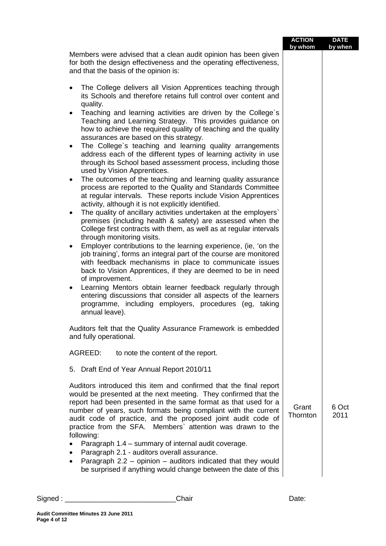|                                                                                                                                                                                                                                                                                                                                                                                                                       | <b>ACTION</b><br>by whom | <b>DATE</b><br>by when |
|-----------------------------------------------------------------------------------------------------------------------------------------------------------------------------------------------------------------------------------------------------------------------------------------------------------------------------------------------------------------------------------------------------------------------|--------------------------|------------------------|
| Members were advised that a clean audit opinion has been given<br>for both the design effectiveness and the operating effectiveness,<br>and that the basis of the opinion is:                                                                                                                                                                                                                                         |                          |                        |
| The College delivers all Vision Apprentices teaching through<br>$\bullet$<br>its Schools and therefore retains full control over content and<br>quality.                                                                                                                                                                                                                                                              |                          |                        |
| Teaching and learning activities are driven by the College's<br>$\bullet$<br>Teaching and Learning Strategy. This provides guidance on<br>how to achieve the required quality of teaching and the quality<br>assurances are based on this strategy.                                                                                                                                                                   |                          |                        |
| The College's teaching and learning quality arrangements<br>$\bullet$<br>address each of the different types of learning activity in use<br>through its School based assessment process, including those<br>used by Vision Apprentices.                                                                                                                                                                               |                          |                        |
| The outcomes of the teaching and learning quality assurance<br>$\bullet$<br>process are reported to the Quality and Standards Committee<br>at regular intervals. These reports include Vision Apprentices<br>activity, although it is not explicitly identified.                                                                                                                                                      |                          |                        |
| The quality of ancillary activities undertaken at the employers'<br>$\bullet$<br>premises (including health & safety) are assessed when the<br>College first contracts with them, as well as at regular intervals<br>through monitoring visits.                                                                                                                                                                       |                          |                        |
| Employer contributions to the learning experience, (ie, 'on the<br>$\bullet$<br>job training', forms an integral part of the course are monitored<br>with feedback mechanisms in place to communicate issues<br>back to Vision Apprentices, if they are deemed to be in need                                                                                                                                          |                          |                        |
| of improvement.<br>Learning Mentors obtain learner feedback regularly through<br>$\bullet$<br>entering discussions that consider all aspects of the learners<br>programme, including employers, procedures (eg, taking<br>annual leave).                                                                                                                                                                              |                          |                        |
| Auditors felt that the Quality Assurance Framework is embedded<br>and fully operational.                                                                                                                                                                                                                                                                                                                              |                          |                        |
| AGREED:<br>to note the content of the report.                                                                                                                                                                                                                                                                                                                                                                         |                          |                        |
| 5. Draft End of Year Annual Report 2010/11                                                                                                                                                                                                                                                                                                                                                                            |                          |                        |
| Auditors introduced this item and confirmed that the final report<br>would be presented at the next meeting. They confirmed that the<br>report had been presented in the same format as that used for a<br>number of years, such formats being compliant with the current<br>audit code of practice, and the proposed joint audit code of<br>practice from the SFA. Members' attention was drawn to the<br>following: | Grant<br>Thornton        | 6 Oct<br>2011          |
| Paragraph 1.4 - summary of internal audit coverage.<br>Paragraph 2.1 - auditors overall assurance.<br>Paragraph $2.2$ – opinion – auditors indicated that they would<br>be surprised if anything would change between the date of this                                                                                                                                                                                |                          |                        |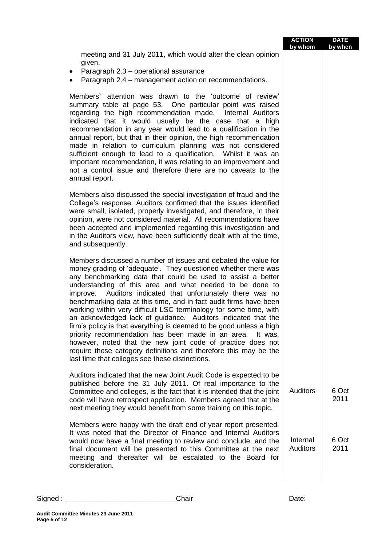|                                                                                                                                                                                                                                                                                                                                                                                                                                                                                                                                                                                                                                                                                                                                                                                                                                                                 | <b>ACTION</b><br>by whom    | <b>DATE</b><br>by when |
|-----------------------------------------------------------------------------------------------------------------------------------------------------------------------------------------------------------------------------------------------------------------------------------------------------------------------------------------------------------------------------------------------------------------------------------------------------------------------------------------------------------------------------------------------------------------------------------------------------------------------------------------------------------------------------------------------------------------------------------------------------------------------------------------------------------------------------------------------------------------|-----------------------------|------------------------|
| meeting and 31 July 2011, which would alter the clean opinion<br>given.<br>Paragraph 2.3 - operational assurance<br>$\bullet$<br>Paragraph 2.4 - management action on recommendations.<br>$\bullet$                                                                                                                                                                                                                                                                                                                                                                                                                                                                                                                                                                                                                                                             |                             |                        |
| Members' attention was drawn to the 'outcome of review'<br>summary table at page 53. One particular point was raised<br>regarding the high recommendation made. Internal Auditors<br>indicated that it would usually be the case that a high<br>recommendation in any year would lead to a qualification in the<br>annual report, but that in their opinion, the high recommendation<br>made in relation to curriculum planning was not considered<br>sufficient enough to lead to a qualification. Whilst it was an<br>important recommendation, it was relating to an improvement and<br>not a control issue and therefore there are no caveats to the<br>annual report.                                                                                                                                                                                      |                             |                        |
| Members also discussed the special investigation of fraud and the<br>College's response. Auditors confirmed that the issues identified<br>were small, isolated, properly investigated, and therefore, in their<br>opinion, were not considered material. All recommendations have<br>been accepted and implemented regarding this investigation and<br>in the Auditors view, have been sufficiently dealt with at the time,<br>and subsequently.                                                                                                                                                                                                                                                                                                                                                                                                                |                             |                        |
| Members discussed a number of issues and debated the value for<br>money grading of 'adequate'. They questioned whether there was<br>any benchmarking data that could be used to assist a better<br>understanding of this area and what needed to be done to<br>improve. Auditors indicated that unfortunately there was no<br>benchmarking data at this time, and in fact audit firms have been<br>working within very difficult LSC terminology for some time, with<br>an acknowledged lack of guidance. Auditors indicated that the<br>firm's policy is that everything is deemed to be good unless a high<br>priority recommendation has been made in an area. It was,<br>however, noted that the new joint code of practice does not<br>require these category definitions and therefore this may be the<br>last time that colleges see these distinctions. |                             |                        |
| Auditors indicated that the new Joint Audit Code is expected to be<br>published before the 31 July 2011. Of real importance to the<br>Committee and colleges, is the fact that it is intended that the joint<br>code will have retrospect application. Members agreed that at the<br>next meeting they would benefit from some training on this topic.                                                                                                                                                                                                                                                                                                                                                                                                                                                                                                          | <b>Auditors</b>             | 6 Oct<br>2011          |
| Members were happy with the draft end of year report presented.<br>It was noted that the Director of Finance and Internal Auditors<br>would now have a final meeting to review and conclude, and the<br>final document will be presented to this Committee at the next<br>meeting and thereafter will be escalated to the Board for<br>consideration.                                                                                                                                                                                                                                                                                                                                                                                                                                                                                                           | Internal<br><b>Auditors</b> | 6 Oct<br>2011          |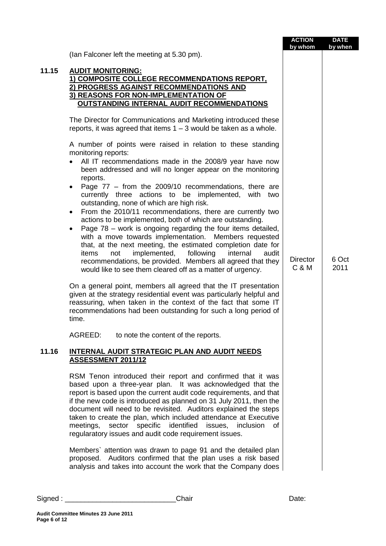|       |                                                                                                                                                                                                                                                                                                                                                                                                                                                                                                                                                                                                                                                                                                                                                                                                                                                                                                                                                                                                                                                                                                                                                                                                                                                                                              | <b>ACTION</b><br>by whom | <b>DATE</b><br>by when |
|-------|----------------------------------------------------------------------------------------------------------------------------------------------------------------------------------------------------------------------------------------------------------------------------------------------------------------------------------------------------------------------------------------------------------------------------------------------------------------------------------------------------------------------------------------------------------------------------------------------------------------------------------------------------------------------------------------------------------------------------------------------------------------------------------------------------------------------------------------------------------------------------------------------------------------------------------------------------------------------------------------------------------------------------------------------------------------------------------------------------------------------------------------------------------------------------------------------------------------------------------------------------------------------------------------------|--------------------------|------------------------|
|       | (lan Falconer left the meeting at 5.30 pm).                                                                                                                                                                                                                                                                                                                                                                                                                                                                                                                                                                                                                                                                                                                                                                                                                                                                                                                                                                                                                                                                                                                                                                                                                                                  |                          |                        |
| 11.15 | <b>AUDIT MONITORING:</b><br>1) COMPOSITE COLLEGE RECOMMENDATIONS REPORT.<br>2) PROGRESS AGAINST RECOMMENDATIONS AND<br>3) REASONS FOR NON-IMPLEMENTATION OF<br><b>OUTSTANDING INTERNAL AUDIT RECOMMENDATIONS</b>                                                                                                                                                                                                                                                                                                                                                                                                                                                                                                                                                                                                                                                                                                                                                                                                                                                                                                                                                                                                                                                                             |                          |                        |
|       | The Director for Communications and Marketing introduced these<br>reports, it was agreed that items $1 - 3$ would be taken as a whole.                                                                                                                                                                                                                                                                                                                                                                                                                                                                                                                                                                                                                                                                                                                                                                                                                                                                                                                                                                                                                                                                                                                                                       |                          |                        |
|       | A number of points were raised in relation to these standing<br>monitoring reports:<br>All IT recommendations made in the 2008/9 year have now<br>$\bullet$<br>been addressed and will no longer appear on the monitoring<br>reports.<br>Page $77$ – from the 2009/10 recommendations, there are<br>$\bullet$<br>currently three<br>actions to be implemented, with two<br>outstanding, none of which are high risk.<br>From the 2010/11 recommendations, there are currently two<br>$\bullet$<br>actions to be implemented, both of which are outstanding.<br>Page 78 – work is ongoing regarding the four items detailed,<br>with a move towards implementation. Members requested<br>that, at the next meeting, the estimated completion date for<br>implemented,<br>following<br>internal<br>audit<br>items<br>not<br>recommendations, be provided. Members all agreed that they<br>would like to see them cleared off as a matter of urgency.<br>On a general point, members all agreed that the IT presentation<br>given at the strategy residential event was particularly helpful and<br>reassuring, when taken in the context of the fact that some IT<br>recommendations had been outstanding for such a long period of<br>time.<br>AGREED:<br>to note the content of the reports. | <b>Director</b><br>C & M | 6 Oct<br>2011          |
| 11.16 | INTERNAL AUDIT STRATEGIC PLAN AND AUDIT NEEDS<br><b>ASSESSMENT 2011/12</b>                                                                                                                                                                                                                                                                                                                                                                                                                                                                                                                                                                                                                                                                                                                                                                                                                                                                                                                                                                                                                                                                                                                                                                                                                   |                          |                        |
|       | RSM Tenon introduced their report and confirmed that it was<br>based upon a three-year plan. It was acknowledged that the<br>report is based upon the current audit code requirements, and that<br>if the new code is introduced as planned on 31 July 2011, then the<br>document will need to be revisited. Auditors explained the steps<br>taken to create the plan, which included attendance at Executive<br>sector specific identified issues,<br>meetings,<br>inclusion<br>of<br>regularatory issues and audit code requirement issues.<br>Members' attention was drawn to page 91 and the detailed plan<br>proposed. Auditors confirmed that the plan uses a risk based<br>analysis and takes into account the work that the Company does                                                                                                                                                                                                                                                                                                                                                                                                                                                                                                                                             |                          |                        |

 $\mathbf{r}$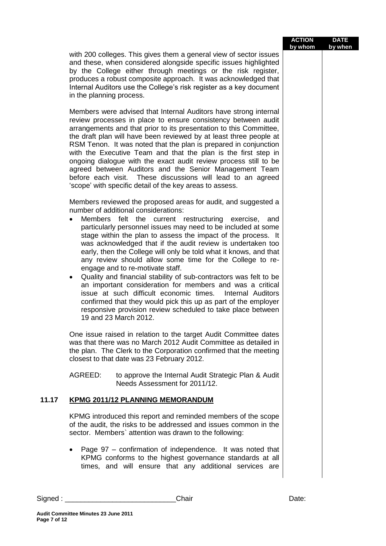| <b>ACTION</b> | <b>DATE</b> |
|---------------|-------------|
| by whom       | by when     |

with 200 colleges. This gives them a general view of sector issues and these, when considered alongside specific issues highlighted by the College either through meetings or the risk register, produces a robust composite approach. It was acknowledged that Internal Auditors use the College's risk register as a key document in the planning process.

Members were advised that Internal Auditors have strong internal review processes in place to ensure consistency between audit arrangements and that prior to its presentation to this Committee, the draft plan will have been reviewed by at least three people at RSM Tenon. It was noted that the plan is prepared in conjunction with the Executive Team and that the plan is the first step in ongoing dialogue with the exact audit review process still to be agreed between Auditors and the Senior Management Team before each visit. These discussions will lead to an agreed 'scope' with specific detail of the key areas to assess.

Members reviewed the proposed areas for audit, and suggested a number of additional considerations:

- Members felt the current restructuring exercise, and particularly personnel issues may need to be included at some stage within the plan to assess the impact of the process. It was acknowledged that if the audit review is undertaken too early, then the College will only be told what it knows, and that any review should allow some time for the College to reengage and to re-motivate staff.
- Quality and financial stability of sub-contractors was felt to be an important consideration for members and was a critical issue at such difficult economic times. Internal Auditors confirmed that they would pick this up as part of the employer responsive provision review scheduled to take place between 19 and 23 March 2012.

One issue raised in relation to the target Audit Committee dates was that there was no March 2012 Audit Committee as detailed in the plan. The Clerk to the Corporation confirmed that the meeting closest to that date was 23 February 2012.

AGREED: to approve the Internal Audit Strategic Plan & Audit Needs Assessment for 2011/12.

## **11.17 KPMG 2011/12 PLANNING MEMORANDUM**

KPMG introduced this report and reminded members of the scope of the audit, the risks to be addressed and issues common in the sector. Members` attention was drawn to the following:

 Page 97 – confirmation of independence. It was noted that KPMG conforms to the highest governance standards at all times, and will ensure that any additional services are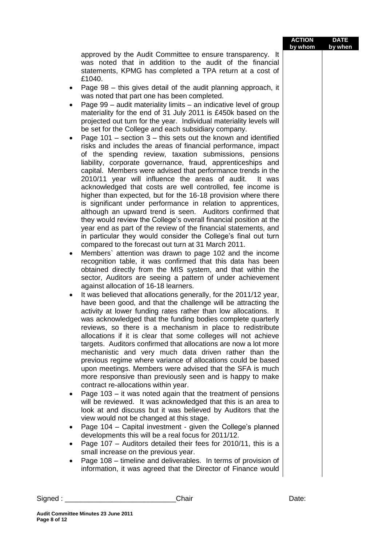## **ACTION by whom DATE by when**

approved by the Audit Committee to ensure transparency. It was noted that in addition to the audit of the financial statements, KPMG has completed a TPA return at a cost of £1040.

- Page 98 this gives detail of the audit planning approach, it was noted that part one has been completed.
- Page  $99$  audit materiality limits an indicative level of group materiality for the end of 31 July 2011 is £450k based on the projected out turn for the year. Individual materiality levels will be set for the College and each subsidiary company.
- Page 101 section  $3$  this sets out the known and identified risks and includes the areas of financial performance, impact of the spending review, taxation submissions, pensions liability, corporate governance, fraud, apprenticeships and capital. Members were advised that performance trends in the 2010/11 year will influence the areas of audit. It was acknowledged that costs are well controlled, fee income is higher than expected, but for the 16-18 provision where there is significant under performance in relation to apprentices, although an upward trend is seen. Auditors confirmed that they would review the College's overall financial position at the year end as part of the review of the financial statements, and in particular they would consider the College's final out turn compared to the forecast out turn at 31 March 2011.
- Members` attention was drawn to page 102 and the income recognition table, it was confirmed that this data has been obtained directly from the MIS system, and that within the sector, Auditors are seeing a pattern of under achievement against allocation of 16-18 learners.
- It was believed that allocations generally, for the 2011/12 year, have been good, and that the challenge will be attracting the activity at lower funding rates rather than low allocations. It was acknowledged that the funding bodies complete quarterly reviews, so there is a mechanism in place to redistribute allocations if it is clear that some colleges will not achieve targets. Auditors confirmed that allocations are now a lot more mechanistic and very much data driven rather than the previous regime where variance of allocations could be based upon meetings. Members were advised that the SFA is much more responsive than previously seen and is happy to make contract re-allocations within year.
- Page 103 it was noted again that the treatment of pensions will be reviewed. It was acknowledged that this is an area to look at and discuss but it was believed by Auditors that the view would not be changed at this stage.
- Page 104 Capital investment given the College's planned developments this will be a real focus for 2011/12.
- Page 107 Auditors detailed their fees for 2010/11, this is a small increase on the previous year.
- Page 108 timeline and deliverables. In terms of provision of information, it was agreed that the Director of Finance would

**Page 8 of 12**

**Audit Committee Minutes 23 June 2011**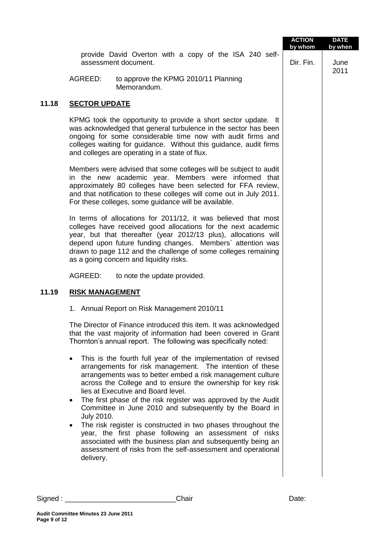|       |                                     |                                                                                                                                                                                                                                                                                                                                                                                                                                                                                                                                                                                                                                                                                     | <b>ACTION</b><br>by whom | <b>DATE</b><br>by when |
|-------|-------------------------------------|-------------------------------------------------------------------------------------------------------------------------------------------------------------------------------------------------------------------------------------------------------------------------------------------------------------------------------------------------------------------------------------------------------------------------------------------------------------------------------------------------------------------------------------------------------------------------------------------------------------------------------------------------------------------------------------|--------------------------|------------------------|
|       |                                     | provide David Overton with a copy of the ISA 240 self-<br>assessment document.                                                                                                                                                                                                                                                                                                                                                                                                                                                                                                                                                                                                      | Dir. Fin.                | June<br>2011           |
|       | AGREED:                             | to approve the KPMG 2010/11 Planning<br>Memorandum.                                                                                                                                                                                                                                                                                                                                                                                                                                                                                                                                                                                                                                 |                          |                        |
| 11.18 | <b>SECTOR UPDATE</b>                |                                                                                                                                                                                                                                                                                                                                                                                                                                                                                                                                                                                                                                                                                     |                          |                        |
|       |                                     | KPMG took the opportunity to provide a short sector update. It<br>was acknowledged that general turbulence in the sector has been<br>ongoing for some considerable time now with audit firms and<br>colleges waiting for guidance. Without this guidance, audit firms<br>and colleges are operating in a state of flux.                                                                                                                                                                                                                                                                                                                                                             |                          |                        |
|       |                                     | Members were advised that some colleges will be subject to audit<br>in the new academic year. Members were informed that<br>approximately 80 colleges have been selected for FFA review,<br>and that notification to these colleges will come out in July 2011.<br>For these colleges, some guidance will be available.                                                                                                                                                                                                                                                                                                                                                             |                          |                        |
|       |                                     | In terms of allocations for 2011/12, it was believed that most<br>colleges have received good allocations for the next academic<br>year, but that thereafter (year 2012/13 plus), allocations will<br>depend upon future funding changes. Members' attention was<br>drawn to page 112 and the challenge of some colleges remaining<br>as a going concern and liquidity risks.                                                                                                                                                                                                                                                                                                       |                          |                        |
|       | AGREED:                             | to note the update provided.                                                                                                                                                                                                                                                                                                                                                                                                                                                                                                                                                                                                                                                        |                          |                        |
| 11.19 | <b>RISK MANAGEMENT</b>              |                                                                                                                                                                                                                                                                                                                                                                                                                                                                                                                                                                                                                                                                                     |                          |                        |
|       |                                     | 1. Annual Report on Risk Management 2010/11                                                                                                                                                                                                                                                                                                                                                                                                                                                                                                                                                                                                                                         |                          |                        |
|       |                                     | The Director of Finance introduced this item. It was acknowledged<br>that the vast majority of information had been covered in Grant<br>Thornton's annual report. The following was specifically noted:                                                                                                                                                                                                                                                                                                                                                                                                                                                                             |                          |                        |
|       | <b>July 2010.</b><br>٠<br>delivery. | This is the fourth full year of the implementation of revised<br>arrangements for risk management. The intention of these<br>arrangements was to better embed a risk management culture<br>across the College and to ensure the ownership for key risk<br>lies at Executive and Board level.<br>The first phase of the risk register was approved by the Audit<br>Committee in June 2010 and subsequently by the Board in<br>The risk register is constructed in two phases throughout the<br>year, the first phase following an assessment of risks<br>associated with the business plan and subsequently being an<br>assessment of risks from the self-assessment and operational |                          |                        |
|       |                                     |                                                                                                                                                                                                                                                                                                                                                                                                                                                                                                                                                                                                                                                                                     |                          |                        |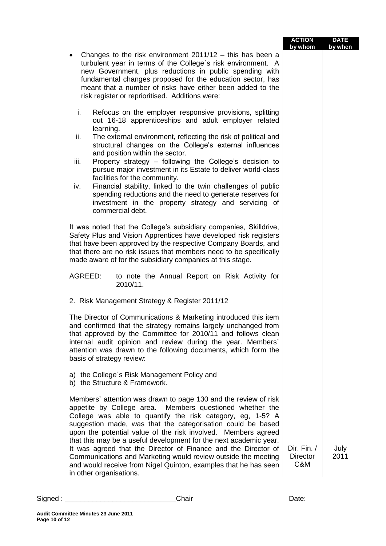|                                                                                                                                                                                                                                                                                                                                                                                                                                                                                                                                                                                                                                    | <b>ACTION</b><br>by whom              | <b>DATE</b><br>by when |
|------------------------------------------------------------------------------------------------------------------------------------------------------------------------------------------------------------------------------------------------------------------------------------------------------------------------------------------------------------------------------------------------------------------------------------------------------------------------------------------------------------------------------------------------------------------------------------------------------------------------------------|---------------------------------------|------------------------|
| Changes to the risk environment $2011/12 -$ this has been a<br>turbulent year in terms of the College's risk environment. A<br>new Government, plus reductions in public spending with<br>fundamental changes proposed for the education sector, has<br>meant that a number of risks have either been added to the<br>risk register or reprioritised. Additions were:                                                                                                                                                                                                                                                              |                                       |                        |
| Refocus on the employer responsive provisions, splitting<br>i.<br>out 16-18 apprenticeships and adult employer related<br>learning.                                                                                                                                                                                                                                                                                                                                                                                                                                                                                                |                                       |                        |
| ii.<br>The external environment, reflecting the risk of political and<br>structural changes on the College's external influences                                                                                                                                                                                                                                                                                                                                                                                                                                                                                                   |                                       |                        |
| and position within the sector.<br>iii.<br>Property strategy - following the College's decision to<br>pursue major investment in its Estate to deliver world-class<br>facilities for the community.                                                                                                                                                                                                                                                                                                                                                                                                                                |                                       |                        |
| Financial stability, linked to the twin challenges of public<br>iv.<br>spending reductions and the need to generate reserves for<br>investment in the property strategy and servicing of<br>commercial debt.                                                                                                                                                                                                                                                                                                                                                                                                                       |                                       |                        |
| It was noted that the College's subsidiary companies, Skilldrive,<br>Safety Plus and Vision Apprentices have developed risk registers<br>that have been approved by the respective Company Boards, and<br>that there are no risk issues that members need to be specifically<br>made aware of for the subsidiary companies at this stage.                                                                                                                                                                                                                                                                                          |                                       |                        |
| AGREED:<br>to note the Annual Report on Risk Activity for<br>2010/11.                                                                                                                                                                                                                                                                                                                                                                                                                                                                                                                                                              |                                       |                        |
| 2. Risk Management Strategy & Register 2011/12                                                                                                                                                                                                                                                                                                                                                                                                                                                                                                                                                                                     |                                       |                        |
| The Director of Communications & Marketing introduced this item<br>and confirmed that the strategy remains largely unchanged from<br>that approved by the Committee for 2010/11 and follows clean<br>internal audit opinion and review during the year. Members`<br>attention was drawn to the following documents, which form the<br>basis of strategy review:                                                                                                                                                                                                                                                                    |                                       |                        |
| a) the College's Risk Management Policy and<br>b) the Structure & Framework.                                                                                                                                                                                                                                                                                                                                                                                                                                                                                                                                                       |                                       |                        |
| Members' attention was drawn to page 130 and the review of risk<br>Members questioned whether the<br>appetite by College area.<br>College was able to quantify the risk category, eg, 1-5? A<br>suggestion made, was that the categorisation could be based<br>upon the potential value of the risk involved. Members agreed<br>that this may be a useful development for the next academic year.<br>It was agreed that the Director of Finance and the Director of<br>Communications and Marketing would review outside the meeting<br>and would receive from Nigel Quinton, examples that he has seen<br>in other organisations. | Dir. Fin. /<br><b>Director</b><br>C&M | July<br>2011           |
|                                                                                                                                                                                                                                                                                                                                                                                                                                                                                                                                                                                                                                    |                                       |                        |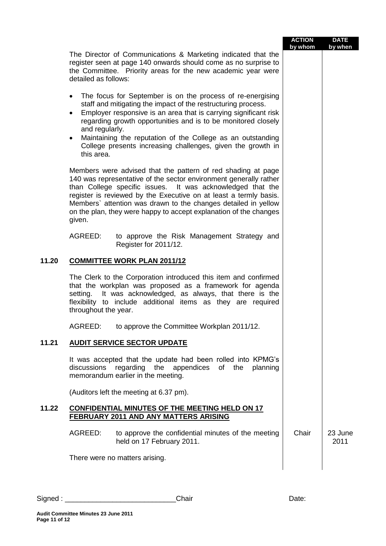|       |                                                                                                                                                                                                                                                                                                                                                                                                                                                          | <b>ACTION</b><br>by whom | <b>DATE</b><br>by when |
|-------|----------------------------------------------------------------------------------------------------------------------------------------------------------------------------------------------------------------------------------------------------------------------------------------------------------------------------------------------------------------------------------------------------------------------------------------------------------|--------------------------|------------------------|
|       | The Director of Communications & Marketing indicated that the<br>register seen at page 140 onwards should come as no surprise to<br>the Committee. Priority areas for the new academic year were<br>detailed as follows:                                                                                                                                                                                                                                 |                          |                        |
|       | The focus for September is on the process of re-energising<br>$\bullet$<br>staff and mitigating the impact of the restructuring process.<br>Employer responsive is an area that is carrying significant risk<br>regarding growth opportunities and is to be monitored closely<br>and regularly.<br>Maintaining the reputation of the College as an outstanding<br>$\bullet$<br>College presents increasing challenges, given the growth in<br>this area. |                          |                        |
|       | Members were advised that the pattern of red shading at page<br>140 was representative of the sector environment generally rather<br>than College specific issues. It was acknowledged that the<br>register is reviewed by the Executive on at least a termly basis.<br>Members' attention was drawn to the changes detailed in yellow<br>on the plan, they were happy to accept explanation of the changes<br>given.                                    |                          |                        |
|       | AGREED:<br>to approve the Risk Management Strategy and<br>Register for 2011/12.                                                                                                                                                                                                                                                                                                                                                                          |                          |                        |
| 11.20 | <b>COMMITTEE WORK PLAN 2011/12</b>                                                                                                                                                                                                                                                                                                                                                                                                                       |                          |                        |
|       | The Clerk to the Corporation introduced this item and confirmed<br>that the workplan was proposed as a framework for agenda<br>It was acknowledged, as always, that there is the<br>setting.<br>flexibility to include additional items as they are required<br>throughout the year.                                                                                                                                                                     |                          |                        |
|       | AGREED: to approve the Committee Workplan 2011/12.                                                                                                                                                                                                                                                                                                                                                                                                       |                          |                        |
| 11.21 | <b>AUDIT SERVICE SECTOR UPDATE</b>                                                                                                                                                                                                                                                                                                                                                                                                                       |                          |                        |
|       | It was accepted that the update had been rolled into KPMG's<br>regarding the appendices of the<br>discussions<br>planning<br>memorandum earlier in the meeting.                                                                                                                                                                                                                                                                                          |                          |                        |
|       | (Auditors left the meeting at 6.37 pm).                                                                                                                                                                                                                                                                                                                                                                                                                  |                          |                        |
| 11.22 | <b>CONFIDENTIAL MINUTES OF THE MEETING HELD ON 17</b><br><b>FEBRUARY 2011 AND ANY MATTERS ARISING</b>                                                                                                                                                                                                                                                                                                                                                    |                          |                        |
|       | AGREED:<br>to approve the confidential minutes of the meeting<br>held on 17 February 2011.                                                                                                                                                                                                                                                                                                                                                               | Chair                    | 23 June<br>2011        |
|       | There were no matters arising.                                                                                                                                                                                                                                                                                                                                                                                                                           |                          |                        |
|       |                                                                                                                                                                                                                                                                                                                                                                                                                                                          |                          |                        |